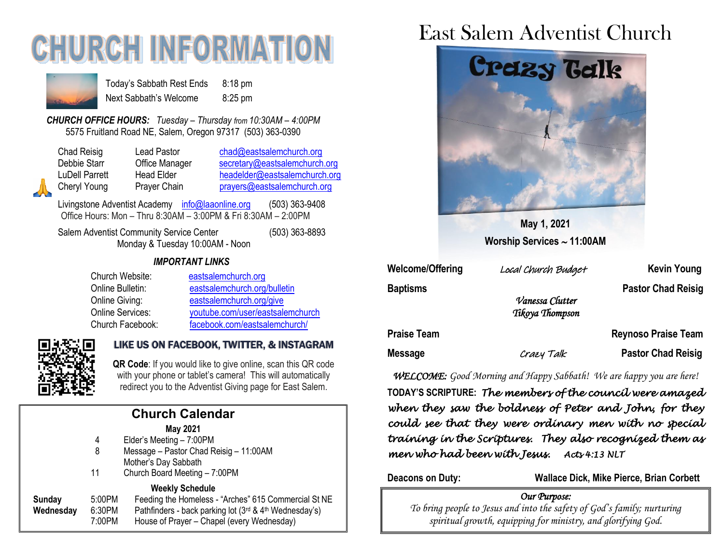# **CHURCH INFORMATI**



Today's Sabbath Rest Ends 8:18 pm Next Sabbath's Welcome 8:25 pm

*CHURCH OFFICE HOURS: Tuesday – Thursday from 10:30AM – 4:00PM* 5575 Fruitland Road NE, Salem, Oregon 97317 (503) 363-0390

| Chad Reisig    | Lead Pastor       | chad@eastsalemchurch.org      |
|----------------|-------------------|-------------------------------|
| Debbie Starr   | Office Manager    | secretary@eastsalemchurch.org |
| LuDell Parrett | <b>Head Elder</b> | headelder@eastsalemchurch.org |
| Cheryl Young   | Prayer Chain      | prayers@eastsalemchurch.org   |

Livingstone Adventist Academy [info@laaonline.org](mailto:info@laaonline.org) (503) 363-9408 Office Hours: Mon – Thru 8:30AM – 3:00PM & Fri 8:30AM – 2:00PM

Salem Adventist Community Service Center (503) 363-8893 Monday & Tuesday 10:00AM - Noon

#### *IMPORTANT LINKS*

| Church Website:         | eastsalemchurch.org              |
|-------------------------|----------------------------------|
| Online Bulletin:        | eastsalemchurch.org/bulletin     |
| Online Giving:          | eastsalemchurch.org/give         |
| <b>Online Services:</b> | youtube.com/user/eastsalemchurch |
| Church Facebook:        | facebook.com/eastsalemchurch/    |



#### LIKE US ON FACEBOOK, TWITTER, & INSTAGRAM

**QR Code**: If you would like to give online, scan this QR code with your phone or tablet's camera! This will automatically redirect you to the Adventist Giving page for East Salem.

| <b>Church Calendar</b> |        |                                                        |  |  |
|------------------------|--------|--------------------------------------------------------|--|--|
|                        |        | <b>May 2021</b>                                        |  |  |
|                        | 4      | Elder's Meeting - 7:00PM                               |  |  |
|                        | 8      | Message - Pastor Chad Reisig - 11:00AM                 |  |  |
|                        |        | Mother's Day Sabbath                                   |  |  |
|                        | 11     | Church Board Meeting - 7:00PM                          |  |  |
|                        |        | <b>Weekly Schedule</b>                                 |  |  |
| Sunday                 | 5:00PM | Feeding the Homeless - "Arches" 615 Commercial St NE   |  |  |
| Wednesday              | 6:30PM | Pathfinders - back parking lot (3rd & 4th Wednesday's) |  |  |
|                        | 7:00PM | House of Prayer - Chapel (every Wednesday)             |  |  |

## East Salem Adventist Church



**May 1, 2021 Worship Services 11:00AM**

| Welcome/Offering   | Local Church Budget                | <b>Kevin Young</b>         |
|--------------------|------------------------------------|----------------------------|
| <b>Baptisms</b>    | Vanessa Clutter<br>Tikoya Thompson | <b>Pastor Chad Reisig</b>  |
| <b>Praise Team</b> |                                    | <b>Reynoso Praise Team</b> |
| Message            | Crazy Talk                         | <b>Pastor Chad Reisig</b>  |

*WELCOME: Good Morning and Happy Sabbath! We are happy you are here!* 

**TODAY'S SCRIPTURE:** *The members of the council were amazed when they saw the boldness of Peter and John, for they could see that they were ordinary men with no special training in the Scriptures. They also recognized them as men who had been with Jesus. Acts 4:13 NLT* 

**Deacons on Duty: Wallace Dick, Mike Pierce, Brian Corbett**

#### *Our Purpose:*

*To bring people to Jesus and into the safety of God's family; nurturing spiritual growth, equipping for ministry, and glorifying God.*